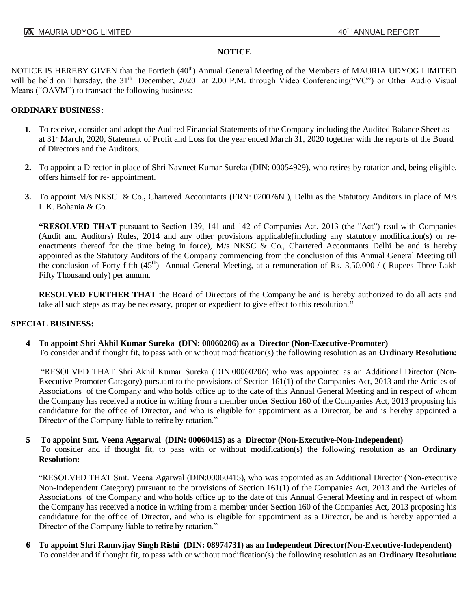## **NOTICE**

NOTICE IS HEREBY GIVEN that the Fortieth (40<sup>th</sup>) Annual General Meeting of the Members of MAURIA UDYOG LIMITED will be held on Thursday, the 31<sup>th</sup> December, 2020 at 2.00 P.M. through Video Conferencing("VC") or Other Audio Visual Means ("OAVM") to transact the following business:-

## **ORDINARY BUSINESS:**

- **1.** To receive, consider and adopt the Audited Financial Statements of the Company including the Audited Balance Sheet as at 31st March, 2020, Statement of Profit and Loss for the year ended March 31, 2020 together with the reports of the Board of Directors and the Auditors.
- **2.** To appoint a Director in place of Shri Navneet Kumar Sureka (DIN: 00054929), who retires by rotation and, being eligible, offers himself for re- appointment.
- **3.** To appoint M/s NKSC & Co.**,** Chartered Accountants (FRN: 020076N ), Delhi as the Statutory Auditors in place of M/s L.K. Bohania & Co.

**"RESOLVED THAT** pursuant to Section 139, 141 and 142 of Companies Act, 2013 (the "Act") read with Companies (Audit and Auditors) Rules, 2014 and any other provisions applicable(including any statutory modification(s) or reenactments thereof for the time being in force), M/s NKSC & Co., Chartered Accountants Delhi be and is hereby appointed as the Statutory Auditors of the Company commencing from the conclusion of this Annual General Meeting till the conclusion of Forty-fifth (45<sup>th</sup>) Annual General Meeting, at a remuneration of Rs. 3,50,000-/ (Rupees Three Lakh Fifty Thousand only) per annum.

**RESOLVED FURTHER THAT** the Board of Directors of the Company be and is hereby authorized to do all acts and take all such steps as may be necessary, proper or expedient to give effect to this resolution.**"**

## **SPECIAL BUSINESS:**

 **4 To appoint Shri Akhil Kumar Sureka (DIN: 00060206) as a Director (Non-Executive-Promoter)**  To consider and if thought fit, to pass with or without modification(s) the following resolution as an **Ordinary Resolution:**

"RESOLVED THAT Shri Akhil Kumar Sureka (DIN:00060206) who was appointed as an Additional Director (Non-Executive Promoter Category) pursuant to the provisions of Section 161(1) of the Companies Act, 2013 and the Articles of Associations of the Company and who holds office up to the date of this Annual General Meeting and in respect of whom the Company has received a notice in writing from a member under Section 160 of the Companies Act, 2013 proposing his candidature for the office of Director, and who is eligible for appointment as a Director, be and is hereby appointed a Director of the Company liable to retire by rotation."

# **5 To appoint Smt. Veena Aggarwal (DIN: 00060415) as a Director (Non-Executive-Non-Independent)**

To consider and if thought fit, to pass with or without modification(s) the following resolution as an **Ordinary Resolution:**

"RESOLVED THAT Smt. Veena Agarwal (DIN:00060415), who was appointed as an Additional Director (Non-executive Non-Independent Category) pursuant to the provisions of Section 161(1) of the Companies Act, 2013 and the Articles of Associations of the Company and who holds office up to the date of this Annual General Meeting and in respect of whom the Company has received a notice in writing from a member under Section 160 of the Companies Act, 2013 proposing his candidature for the office of Director, and who is eligible for appointment as a Director, be and is hereby appointed a Director of the Company liable to retire by rotation."

 **6 To appoint Shri Rannvijay Singh Rishi (DIN: 08974731) as an Independent Director(Non-Executive-Independent)**  To consider and if thought fit, to pass with or without modification(s) the following resolution as an **Ordinary Resolution:**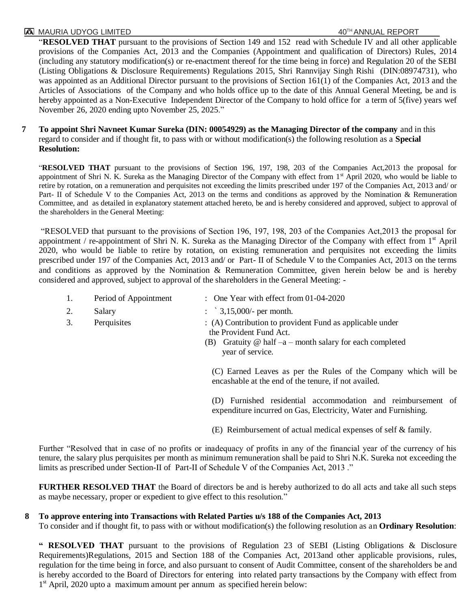## **TA MAURIA UDYOG LIMITED A**  $40^{TH}$  ANNUAL REPORT

"**RESOLVED THAT** pursuant to the provisions of Section 149 and 152 read with Schedule IV and all other applicable provisions of the Companies Act, 2013 and the Companies (Appointment and qualification of Directors) Rules, 2014 (including any statutory modification(s) or re-enactment thereof for the time being in force) and Regulation 20 of the SEBI (Listing Obligations & Disclosure Requirements) Regulations 2015, Shri Rannvijay Singh Rishi (DIN:08974731), who was appointed as an Additional Director pursuant to the provisions of Section 161(1) of the Companies Act, 2013 and the Articles of Associations of the Company and who holds office up to the date of this Annual General Meeting, be and is hereby appointed as a Non-Executive Independent Director of the Company to hold office for a term of 5(five) years wef November 26, 2020 ending upto November 25, 2025."

 **7 To appoint Shri Navneet Kumar Sureka (DIN: 00054929) as the Managing Director of the company** and in this regard to consider and if thought fit, to pass with or without modification(s) the following resolution as a **Special Resolution:** 

"**RESOLVED THAT** pursuant to the provisions of Section 196, 197, 198, 203 of the Companies Act,2013 the proposal for appointment of Shri N. K. Sureka as the Managing Director of the Company with effect from 1<sup>st</sup> April 2020, who would be liable to retire by rotation, on a remuneration and perquisites not exceeding the limits prescribed under 197 of the Companies Act, 2013 and/ or Part- II of Schedule V to the Companies Act, 2013 on the terms and conditions as approved by the Nomination & Remuneration Committee, and as detailed in explanatory statement attached hereto, be and is hereby considered and approved, subject to approval of the shareholders in the General Meeting:

"RESOLVED that pursuant to the provisions of Section 196, 197, 198, 203 of the Companies Act,2013 the proposal for appointment / re-appointment of Shri N. K. Sureka as the Managing Director of the Company with effect from  $1<sup>st</sup>$  April 2020, who would be liable to retire by rotation, on existing remuneration and perquisites not exceeding the limits prescribed under 197 of the Companies Act, 2013 and/ or Part- II of Schedule V to the Companies Act, 2013 on the terms and conditions as approved by the Nomination & Remuneration Committee, given herein below be and is hereby considered and approved, subject to approval of the shareholders in the General Meeting: -

| 1. | Period of Appointment | : One Year with effect from 01-04-2020                                                                                                                                       |
|----|-----------------------|------------------------------------------------------------------------------------------------------------------------------------------------------------------------------|
| 2. | Salary                | : $3,15,000/$ - per month.                                                                                                                                                   |
| 3. | Perquisites           | : (A) Contribution to provident Fund as applicable under<br>the Provident Fund Act.<br>(B) Gratuity $\omega$ half $-a$ - month salary for each completed<br>year of service. |
|    |                       | (C) Earned Leaves as per the Rules of the Company which will be<br>encashable at the end of the tenure, if not availed.                                                      |

(D) Furnished residential accommodation and reimbursement of expenditure incurred on Gas, Electricity, Water and Furnishing.

(E) Reimbursement of actual medical expenses of self & family.

Further "Resolved that in case of no profits or inadequacy of profits in any of the financial year of the currency of his tenure, the salary plus perquisites per month as minimum remuneration shall be paid to Shri N.K. Sureka not exceeding the limits as prescribed under Section-II of Part-II of Schedule V of the Companies Act, 2013 ."

**FURTHER RESOLVED THAT** the Board of directors be and is hereby authorized to do all acts and take all such steps as maybe necessary, proper or expedient to give effect to this resolution."

## **8 To approve entering into Transactions with Related Parties u/s 188 of the Companies Act, 2013**

To consider and if thought fit, to pass with or without modification(s) the following resolution as an **Ordinary Resolution**:

**" RESOLVED THAT** pursuant to the provisions of Regulation 23 of SEBI (Listing Obligations & Disclosure Requirements)Regulations, 2015 and Section 188 of the Companies Act, 2013and other applicable provisions, rules, regulation for the time being in force, and also pursuant to consent of Audit Committee, consent of the shareholders be and is hereby accorded to the Board of Directors for entering into related party transactions by the Company with effect from 1<sup>st</sup> April, 2020 upto a maximum amount per annum as specified herein below: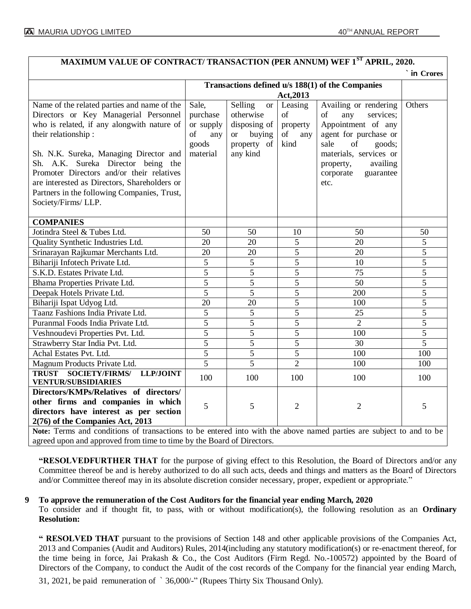| MAXIMUM VALUE OF CONTRACT/ TRANSACTION (PER ANNUM) WEF 1 <sup>ST</sup> APRIL, 2020.                                                                                                                                                                                                                                                                                                                          |                                                                             |                                                                                                         |                                                |                                                                                                                                                                                                             |                |  |
|--------------------------------------------------------------------------------------------------------------------------------------------------------------------------------------------------------------------------------------------------------------------------------------------------------------------------------------------------------------------------------------------------------------|-----------------------------------------------------------------------------|---------------------------------------------------------------------------------------------------------|------------------------------------------------|-------------------------------------------------------------------------------------------------------------------------------------------------------------------------------------------------------------|----------------|--|
| ` in Crores                                                                                                                                                                                                                                                                                                                                                                                                  |                                                                             |                                                                                                         |                                                |                                                                                                                                                                                                             |                |  |
|                                                                                                                                                                                                                                                                                                                                                                                                              |                                                                             | Transactions defined u/s 188(1) of the Companies                                                        |                                                |                                                                                                                                                                                                             |                |  |
|                                                                                                                                                                                                                                                                                                                                                                                                              | Act, 2013                                                                   |                                                                                                         |                                                |                                                                                                                                                                                                             |                |  |
| Name of the related parties and name of the<br>Directors or Key Managerial Personnel<br>who is related, if any alongwith nature of<br>their relationship:<br>Sh. N.K. Sureka, Managing Director and<br>Sh. A.K. Sureka Director being the<br>Promoter Directors and/or their relatives<br>are interested as Directors, Shareholders or<br>Partners in the following Companies, Trust,<br>Society/Firms/ LLP. | Sale,<br>purchase<br>or supply<br><sub>of</sub><br>any<br>goods<br>material | Selling<br><b>or</b><br>otherwise<br>disposing of<br><sub>or</sub><br>buying<br>property of<br>any kind | Leasing<br>of<br>property<br>of<br>any<br>kind | Availing or rendering<br>of<br>any<br>services;<br>Appointment of any<br>agent for purchase or<br>sale<br>of<br>goods;<br>materials, services or<br>availing<br>property,<br>corporate<br>guarantee<br>etc. | Others         |  |
| <b>COMPANIES</b>                                                                                                                                                                                                                                                                                                                                                                                             |                                                                             |                                                                                                         |                                                |                                                                                                                                                                                                             |                |  |
| Jotindra Steel & Tubes Ltd.                                                                                                                                                                                                                                                                                                                                                                                  | 50                                                                          | 50                                                                                                      | 10                                             | 50                                                                                                                                                                                                          | 50             |  |
| Quality Synthetic Industries Ltd.                                                                                                                                                                                                                                                                                                                                                                            | 20                                                                          | 20                                                                                                      | 5                                              | 20                                                                                                                                                                                                          | 5              |  |
| Srinarayan Rajkumar Merchants Ltd.                                                                                                                                                                                                                                                                                                                                                                           | 20                                                                          | 20                                                                                                      | 5                                              | 20                                                                                                                                                                                                          | 5              |  |
| Bihariji Infotech Private Ltd.                                                                                                                                                                                                                                                                                                                                                                               | 5                                                                           | 5                                                                                                       | 5                                              | 10                                                                                                                                                                                                          | 5              |  |
| S.K.D. Estates Private Ltd.                                                                                                                                                                                                                                                                                                                                                                                  | 5                                                                           | 5                                                                                                       | 5                                              | 75                                                                                                                                                                                                          | 5              |  |
| Bhama Properties Private Ltd.                                                                                                                                                                                                                                                                                                                                                                                | 5                                                                           | $\overline{5}$                                                                                          | 5                                              | 50                                                                                                                                                                                                          | 5              |  |
| Deepak Hotels Private Ltd.                                                                                                                                                                                                                                                                                                                                                                                   | 5                                                                           | 5                                                                                                       | 5                                              | 200                                                                                                                                                                                                         | 5              |  |
| Bihariji Ispat Udyog Ltd.                                                                                                                                                                                                                                                                                                                                                                                    | 20                                                                          | 20                                                                                                      | 5                                              | 100                                                                                                                                                                                                         | 5              |  |
| Taanz Fashions India Private Ltd.                                                                                                                                                                                                                                                                                                                                                                            | 5                                                                           | 5                                                                                                       | 5                                              | 25                                                                                                                                                                                                          | $\overline{5}$ |  |
| Puranmal Foods India Private Ltd.                                                                                                                                                                                                                                                                                                                                                                            | 5                                                                           | $\overline{5}$                                                                                          | $\overline{5}$                                 | $\overline{2}$                                                                                                                                                                                              | 5              |  |
| Veshnoudevi Properties Pvt. Ltd.                                                                                                                                                                                                                                                                                                                                                                             | 5                                                                           | 5                                                                                                       | 5                                              | 100                                                                                                                                                                                                         | 5              |  |
| Strawberry Star India Pvt. Ltd.                                                                                                                                                                                                                                                                                                                                                                              | $\overline{5}$                                                              | 5                                                                                                       | 5                                              | 30                                                                                                                                                                                                          | $\overline{5}$ |  |
| Achal Estates Pvt. Ltd.                                                                                                                                                                                                                                                                                                                                                                                      | $\overline{5}$                                                              | $\overline{5}$                                                                                          | $\overline{5}$                                 | 100                                                                                                                                                                                                         | 100            |  |
| Magnum Products Private Ltd.                                                                                                                                                                                                                                                                                                                                                                                 | 5                                                                           | 5                                                                                                       | $\overline{2}$                                 | 100                                                                                                                                                                                                         | 100            |  |
| TRUST SOCIETY/FIRMS/ LLP/JOINT                                                                                                                                                                                                                                                                                                                                                                               | 100                                                                         | 100                                                                                                     | 100                                            | 100                                                                                                                                                                                                         | 100            |  |
| <b>VENTUR/SUBSIDIARIES</b>                                                                                                                                                                                                                                                                                                                                                                                   |                                                                             |                                                                                                         |                                                |                                                                                                                                                                                                             |                |  |
| Directors/KMPs/Relatives of directors/                                                                                                                                                                                                                                                                                                                                                                       |                                                                             |                                                                                                         |                                                |                                                                                                                                                                                                             |                |  |
| other firms and companies in which                                                                                                                                                                                                                                                                                                                                                                           | 5                                                                           | 5                                                                                                       | $\overline{2}$                                 | $\overline{2}$                                                                                                                                                                                              | 5              |  |
| directors have interest as per section                                                                                                                                                                                                                                                                                                                                                                       |                                                                             |                                                                                                         |                                                |                                                                                                                                                                                                             |                |  |
| 2(76) of the Companies Act, 2013                                                                                                                                                                                                                                                                                                                                                                             |                                                                             |                                                                                                         |                                                |                                                                                                                                                                                                             |                |  |
| Note: Terms and conditions of transactions to be entered into with the above named parties are subject to and to be                                                                                                                                                                                                                                                                                          |                                                                             |                                                                                                         |                                                |                                                                                                                                                                                                             |                |  |
| agreed upon and approved from time to time by the Board of Directors.                                                                                                                                                                                                                                                                                                                                        |                                                                             |                                                                                                         |                                                |                                                                                                                                                                                                             |                |  |

**"RESOLVEDFURTHER THAT** for the purpose of giving effect to this Resolution, the Board of Directors and/or any Committee thereof be and is hereby authorized to do all such acts, deeds and things and matters as the Board of Directors and/or Committee thereof may in its absolute discretion consider necessary, proper, expedient or appropriate."

## **9 To approve the remuneration of the Cost Auditors for the financial year ending March, 2020**

To consider and if thought fit, to pass, with or without modification(s), the following resolution as an **Ordinary Resolution:**

**" RESOLVED THAT** pursuant to the provisions of Section 148 and other applicable provisions of the Companies Act, 2013 and Companies (Audit and Auditors) Rules, 2014(including any statutory modification(s) or re-enactment thereof, for the time being in force, Jai Prakash & Co., the Cost Auditors (Firm Regd. No.-100572) appointed by the Board of Directors of the Company, to conduct the Audit of the cost records of the Company for the financial year ending March,

31, 2021, be paid remuneration of ` 36,000/-" (Rupees Thirty Six Thousand Only).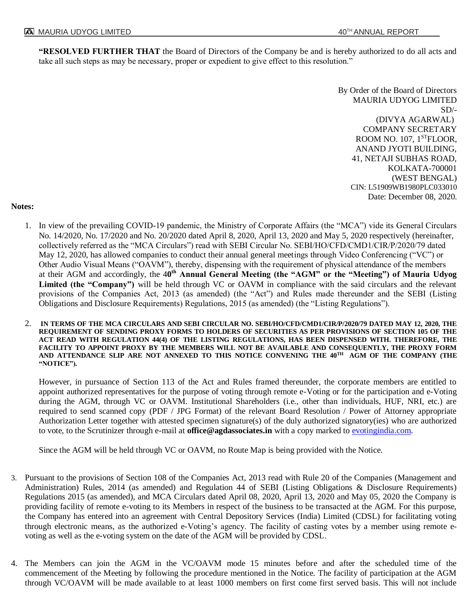**"RESOLVED FURTHER THAT** the Board of Directors of the Company be and is hereby authorized to do all acts and take all such steps as may be necessary, proper or expedient to give effect to this resolution."

> By Order of the Board of Directors MAURIA UDYOG LIMITED  $SD/-$ (DIVYA AGARWAL) COMPANY SECRETARY ROOM NO. 107, 1<sup>ST</sup>FLOOR, ANAND JYOTI BUILDING, 41, NETAJI SUBHAS ROAD, KOLKATA-700001 (WEST BENGAL) CIN: L51909WB1980PLC033010 Date: December 08, 2020.

#### **Notes:**

- 1. In view of the prevailing COVID-19 pandemic, the Ministry of Corporate Affairs (the "MCA") vide its General Circulars No. 14/2020, No. 17/2020 and No. 20/2020 dated April 8, 2020, April 13, 2020 and May 5, 2020 respectively (hereinafter, collectively referred as the "MCA Circulars") read with SEBI Circular No. SEBI/HO/CFD/CMD1/CIR/P/2020/79 dated May 12, 2020, has allowed companies to conduct their annual general meetings through Video Conferencing ("VC") or Other Audio Visual Means ("OAVM"), thereby, dispensing with the requirement of physical attendance of the members at their AGM and accordingly, the 40<sup>th</sup> Annual General Meeting (the "AGM" or the "Meeting") of Mauria Udyog **Limited (the "Company")** will be held through VC or OAVM in compliance with the said circulars and the relevant provisions of the Companies Act, 2013 (as amended) (the "Act") and Rules made thereunder and the SEBI (Listing Obligations and Disclosure Requirements) Regulations, 2015 (as amended) (the "Listing Regulations").
- 2. **IN TERMS OF THE MCA CIRCULARS AND SEBI CIRCULAR NO. SEBI/HO/CFD/CMD1/CIR/P/2020/79 DATED MAY 12, 2020, THE REQUIREMENT OF SENDING PROXY FORMS TO HOLDERS OF SECURITIES AS PER PROVISIONS OF SECTION 105 OF THE ACT READ WITH REGULATION 44(4) OF THE LISTING REGULATIONS, HAS BEEN DISPENSED WITH. THEREFORE, THE FACILITY TO APPOINT PROXY BY THE MEMBERS WILL NOT BE AVAILABLE AND CONSEQUENTLY, THE PROXY FORM AND ATTENDANCE SLIP ARE NOT ANNEXED TO THIS NOTICE CONVENING THE 40TH AGM OF THE COMPANY (THE "NOTICE").**

However, in pursuance of Section 113 of the Act and Rules framed thereunder, the corporate members are entitled to appoint authorized representatives for the purpose of voting through remote e-Voting or for the participation and e-Voting during the AGM, through VC or OAVM. Institutional Shareholders (i.e., other than individuals, HUF, NRI, etc.) are required to send scanned copy (PDF / JPG Format) of the relevant Board Resolution / Power of Attorney appropriate Authorization Letter together with attested specimen signature(s) of the duly authorized signatory(ies) who are authorized to vote, to the Scrutinizer through e-mail at **office@agdassociates.in** with a copy marked to **evotingindia.com**.

Since the AGM will be held through VC or OAVM, no Route Map is being provided with the Notice.

- 3. Pursuant to the provisions of Section 108 of the Companies Act, 2013 read with Rule 20 of the Companies (Management and Administration) Rules, 2014 (as amended) and Regulation 44 of SEBI (Listing Obligations & Disclosure Requirements) Regulations 2015 (as amended), and MCA Circulars dated April 08, 2020, April 13, 2020 and May 05, 2020 the Company is providing facility of remote e-voting to its Members in respect of the business to be transacted at the AGM. For this purpose, the Company has entered into an agreement with Central Depository Services (India) Limited (CDSL) for facilitating voting through electronic means, as the authorized e-Voting's agency. The facility of casting votes by a member using remote evoting as well as the e-voting system on the date of the AGM will be provided by CDSL.
- 4. The Members can join the AGM in the VC/OAVM mode 15 minutes before and after the scheduled time of the commencement of the Meeting by following the procedure mentioned in the Notice. The facility of participation at the AGM through VC/OAVM will be made available to at least 1000 members on first come first served basis. This will not include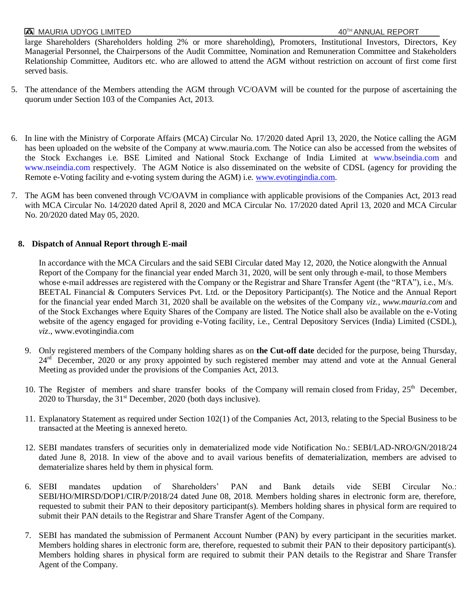large Shareholders (Shareholders holding 2% or more shareholding), Promoters, Institutional Investors, Directors, Key Managerial Personnel, the Chairpersons of the Audit Committee, Nomination and Remuneration Committee and Stakeholders Relationship Committee, Auditors etc. who are allowed to attend the AGM without restriction on account of first come first served basis.

- 5. The attendance of the Members attending the AGM through VC/OAVM will be counted for the purpose of ascertaining the quorum under Section 103 of the Companies Act, 2013.
- 6. In line with the Ministry of Corporate Affairs (MCA) Circular No. 17/2020 dated April 13, 2020, the Notice calling the AGM has been uploaded on the website of the Company at www.mauria.com. The Notice can also be accessed from the websites of the Stock Exchanges i.e. BSE Limited and National Stock Exchange of India Limited at www.bseindia.com and www.nseindia.com respectively. The AGM Notice is also disseminated on the website of CDSL (agency for providing the Remote e-Voting facility and e-voting system during the AGM) i.e. [www.evotingindia.com.](http://www.evotingindia.com/)
- 7. The AGM has been convened through VC/OAVM in compliance with applicable provisions of the Companies Act, 2013 read with MCA Circular No. 14/2020 dated April 8, 2020 and MCA Circular No. 17/2020 dated April 13, 2020 and MCA Circular No. 20/2020 dated May 05, 2020.

## **8. Dispatch of Annual Report through E-mail**

In accordance with the MCA Circulars and the said SEBI Circular dated May 12, 2020, the Notice alongwith the Annual Report of the Company for the financial year ended March 31, 2020, will be sent only through e-mail, to those Members whose e-mail addresses are registered with the Company or the Registrar and Share Transfer Agent (the "RTA"), i.e., M/s. BEETAL Financial & Computers Services Pvt. Ltd. or the Depository Participant(s). The Notice and the Annual Report for the financial year ended March 31, 2020 shall be available on the websites of the Company *viz., www.mauria.com* and of the Stock Exchanges where Equity Shares of the Company are listed. The Notice shall also be available on the e-Voting website of the agency engaged for providing e-Voting facility, i.e., Central Depository Services (India) Limited (CSDL), *viz*., www.evotingindia.com

- 9. Only registered members of the Company holding shares as on **the Cut-off date** decided for the purpose, being Thursday, 24<sup>rd</sup> December, 2020 or any proxy appointed by such registered member may attend and vote at the Annual General Meeting as provided under the provisions of the Companies Act, 2013.
- 10. The Register of members and share transfer books of the Company will remain closed from Friday, 25<sup>th</sup> December, 2020 to Thursday, the 31<sup>st</sup> December, 2020 (both days inclusive).
- 11. Explanatory Statement as required under Section 102(1) of the Companies Act, 2013, relating to the Special Business to be transacted at the Meeting is annexed hereto.
- 12. SEBI mandates transfers of securities only in dematerialized mode vide Notification No.: SEBI/LAD-NRO/GN/2018/24 dated June 8, 2018. In view of the above and to avail various benefits of dematerialization, members are advised to dematerialize shares held by them in physical form.
- 6. SEBI mandates updation of Shareholders' PAN and Bank details vide SEBI Circular No.: SEBI/HO/MIRSD/DOP1/CIR/P/2018/24 dated June 08, 2018. Members holding shares in electronic form are, therefore, requested to submit their PAN to their depository participant(s). Members holding shares in physical form are required to submit their PAN details to the Registrar and Share Transfer Agent of the Company.
- 7. SEBI has mandated the submission of Permanent Account Number (PAN) by every participant in the securities market. Members holding shares in electronic form are, therefore, requested to submit their PAN to their depository participant(s). Members holding shares in physical form are required to submit their PAN details to the Registrar and Share Transfer Agent of the Company.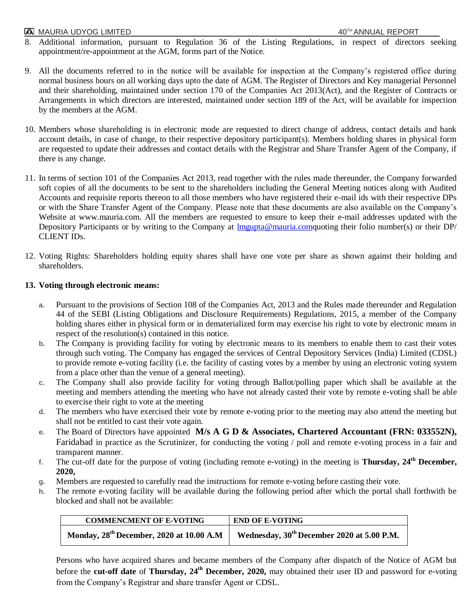# **TA MAURIA UDYOG LIMITED** 40<sup>TH</sup> ANNUAL REPORT

- 8. Additional information, pursuant to Regulation 36 of the Listing Regulations, in respect of directors seeking appointment/re-appointment at the AGM, forms part of the Notice.
- 9. All the documents referred to in the notice will be available for inspection at the Company's registered office during normal business hours on all working days upto the date of AGM. The Register of Directors and Key managerial Personnel and their shareholding, maintained under section 170 of the Companies Act 2013(Act), and the Register of Contracts or Arrangements in which directors are interested, maintained under section 189 of the Act, will be available for inspection by the members at the AGM.
- 10. Members whose shareholding is in electronic mode are requested to direct change of address, contact details and bank account details, in case of change, to their respective depository participant(s). Members holding shares in physical form are requested to update their addresses and contact details with the Registrar and Share Transfer Agent of the Company, if there is any change.
- 11. In terms of section 101 of the Companies Act 2013, read together with the rules made thereunder, the Company forwarded soft copies of all the documents to be sent to the shareholders including the General Meeting notices along with Audited Accounts and requisite reports thereon to all those members who have registered their e-mail ids with their respective DPs or with the Share Transfer Agent of the Company. Please note that these documents are also available on the Company's Website at www.mauria.com. All the members are requested to ensure to keep their e-mail addresses updated with the Depository Participants or by writing to the Company at  $\ln \frac{\text{Input} \cdot \text{Output}}{\text{Output}}$  their folio number(s) or their DP/ CLIENT IDs.
- 12. Voting Rights: Shareholders holding equity shares shall have one vote per share as shown against their holding and shareholders.

## **13. Voting through electronic means:**

- **a.** Pursuant to the provisions of Section 108 of the Companies Act, 2013 and the Rules made thereunder and Regulation 44 of the SEBI (Listing Obligations and Disclosure Requirements) Regulations, 2015, a member of the Company holding shares either in physical form or in dematerialized form may exercise his right to vote by electronic means in respect of the resolution(s) contained in this notice.
- **b.** The Company is providing facility for voting by electronic means to its members to enable them to cast their votes through such voting. The Company has engaged the services of Central Depository Services (India) Limited (CDSL) to provide remote e-voting facility (i.e. the facility of casting votes by a member by using an electronic voting system from a place other than the venue of a general meeting).
- **c.** The Company shall also provide facility for voting through Ballot/polling paper which shall be available at the meeting and members attending the meeting who have not already casted their vote by remote e-voting shall be able to exercise their right to vote at the meeting
- **d.** The members who have exercised their vote by remote e-voting prior to the meeting may also attend the meeting but shall not be entitled to cast their vote again.
- **e.** The Board of Directors have appointed **M/s A G D & Associates, Chartered Accountant (FRN: 033552N),** Faridabad in practice as the Scrutinizer, for conducting the voting / poll and remote e-voting process in a fair and transparent manner.
- **f.** The cut-off date for the purpose of voting (including remote e-voting) in the meeting is **Thursday, 24th December, 2020,**
- **g.** Members are requested to carefully read the instructions for remote e-voting before casting their vote.
- **h.** The remote e-voting facility will be available during the following period after which the portal shall forthwith be blocked and shall not be available:

| <b>COMMENCMENT OF E-VOTING</b>                | <b>END OF E-VOTING</b>                                 |
|-----------------------------------------------|--------------------------------------------------------|
| Monday, $28^{th}$ December, 2020 at 10.00 A.M | Wednesday, 30 <sup>th</sup> December 2020 at 5.00 P.M. |

Persons who have acquired shares and became members of the Company after dispatch of the Notice of AGM but before the **cut-off date** of **Thursday, 24<sup>th</sup> December, 2020,** may obtained their user ID and password for e-voting from the Company's Registrar and share transfer Agent or CDSL.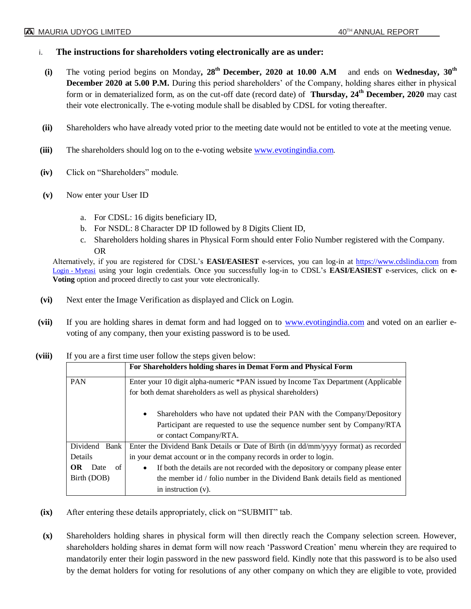## **i. The instructions for shareholders voting electronically are as under:**

- **(i)** The voting period begins on Monday**, 28th December, 2020 at 10.00 A.M** and ends on **Wednesday, 30th December 2020 at 5.00 P.M.** During this period shareholders' of the Company, holding shares either in physical form or in dematerialized form, as on the cut-off date (record date) of **Thursday, 24th December, 2020** may cast their vote electronically. The e-voting module shall be disabled by CDSL for voting thereafter.
- **(ii)** Shareholders who have already voted prior to the meeting date would not be entitled to vote at the meeting venue.
- **(iii)** The shareholders should log on to the e-voting website [www.evotingindia.com](http://www.evotingindia.com/).
- **(iv)** Click on "Shareholders" module.
- **(v)** Now enter your User ID
	- a. For CDSL: 16 digits beneficiary ID,
	- b. For NSDL: 8 Character DP ID followed by 8 Digits Client ID,
	- c. Shareholders holding shares in Physical Form should enter Folio Number registered with the Company. OR

Alternatively, if you are registered for CDSL's **EASI/EASIEST** e-services, you can log-in at [https://www.cdslindia.com](https://www.cdslindia.com/) from [Login](Login - Myeasi) - Myeasi using your login credentials. Once you successfully log-in to CDSL's **EASI/EASIEST** e-services, click on **e-Voting** option and proceed directly to cast your vote electronically.

- **(vi)** Next enter the Image Verification as displayed and Click on Login.
- **(vii)** If you are holding shares in demat form and had logged on to [www.evotingindia.com](http://www.evotingindia.com/) and voted on an earlier evoting of any company, then your existing password is to be used.

|                    | For Shareholders holding shares in Demat Form and Physical Form                                                                                                                             |  |  |
|--------------------|---------------------------------------------------------------------------------------------------------------------------------------------------------------------------------------------|--|--|
| <b>PAN</b>         | Enter your 10 digit alpha-numeric *PAN issued by Income Tax Department (Applicable                                                                                                          |  |  |
|                    | for both demat shareholders as well as physical shareholders)                                                                                                                               |  |  |
|                    | Shareholders who have not updated their PAN with the Company/Depository<br>$\bullet$<br>Participant are requested to use the sequence number sent by Company/RTA<br>or contact Company/RTA. |  |  |
| Dividend<br>Bank   | Enter the Dividend Bank Details or Date of Birth (in dd/mm/yyyy format) as recorded                                                                                                         |  |  |
| Details            | in your demat account or in the company records in order to login.                                                                                                                          |  |  |
| of<br>OR -<br>Date | If both the details are not recorded with the depository or company please enter<br>$\bullet$                                                                                               |  |  |
| Birth (DOB)        | the member id $\ell$ folio number in the Dividend Bank details field as mentioned                                                                                                           |  |  |
|                    | in instruction $(v)$ .                                                                                                                                                                      |  |  |

**(viii)** If you are a first time user follow the steps given below:

- **(ix)** After entering these details appropriately, click on "SUBMIT" tab.
- **(x)** Shareholders holding shares in physical form will then directly reach the Company selection screen. However, shareholders holding shares in demat form will now reach 'Password Creation' menu wherein they are required to mandatorily enter their login password in the new password field. Kindly note that this password is to be also used by the demat holders for voting for resolutions of any other company on which they are eligible to vote, provided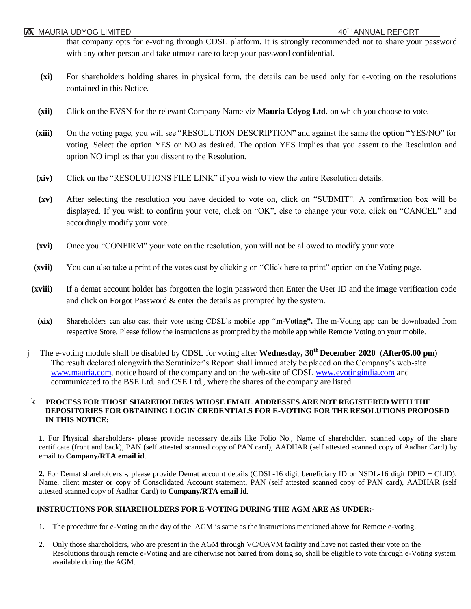that company opts for e-voting through CDSL platform. It is strongly recommended not to share your password with any other person and take utmost care to keep your password confidential.

- **(xi)** For shareholders holding shares in physical form, the details can be used only for e-voting on the resolutions contained in this Notice.
- **(xii)** Click on the EVSN for the relevant Company Name viz **Mauria Udyog Ltd.** on which you choose to vote.
- **(xiii)** On the voting page, you will see "RESOLUTION DESCRIPTION" and against the same the option "YES/NO" for voting. Select the option YES or NO as desired. The option YES implies that you assent to the Resolution and option NO implies that you dissent to the Resolution.
- **(xiv)** Click on the "RESOLUTIONS FILE LINK" if you wish to view the entire Resolution details.
- **(xv)** After selecting the resolution you have decided to vote on, click on "SUBMIT". A confirmation box will be displayed. If you wish to confirm your vote, click on "OK", else to change your vote, click on "CANCEL" and accordingly modify your vote.
- **(xvi)** Once you "CONFIRM" your vote on the resolution, you will not be allowed to modify your vote.
- **(xvii)** You can also take a print of the votes cast by clicking on "Click here to print" option on the Voting page.
- **(xviii)** If a demat account holder has forgotten the login password then Enter the User ID and the image verification code and click on Forgot Password & enter the details as prompted by the system.
	- **(xix)** Shareholders can also cast their vote using CDSL's mobile app "**m-Voting".** The m-Voting app can be downloaded from respective Store. Please follow the instructions as prompted by the mobile app while Remote Voting on your mobile.
- j The e-voting module shall be disabled by CDSL for voting after **Wednesday, 30th December 2020** (**After05.00 pm**) The result declared alongwith the Scrutinizer's Report shall immediately be placed on the Company's web-site [www.mauria.com,](http://www.mauria.com/) notice board of the company and on the web-site of CDSL [www.evotingindia.com](http://www.evotingindia.com/) and communicated to the BSE Ltd. and CSE Ltd., where the shares of the company are listed.

#### k **PROCESS FOR THOSE SHAREHOLDERS WHOSE EMAIL ADDRESSES ARE NOT REGISTERED WITH THE DEPOSITORIES FOR OBTAINING LOGIN CREDENTIALS FOR E-VOTING FOR THE RESOLUTIONS PROPOSED IN THIS NOTICE:**

**1**. For Physical shareholders- please provide necessary details like Folio No., Name of shareholder, scanned copy of the share certificate (front and back), PAN (self attested scanned copy of PAN card), AADHAR (self attested scanned copy of Aadhar Card) by email to **Company/RTA email id**.

**2.** For Demat shareholders -, please provide Demat account details (CDSL-16 digit beneficiary ID or NSDL-16 digit DPID + CLID), Name, client master or copy of Consolidated Account statement, PAN (self attested scanned copy of PAN card), AADHAR (self attested scanned copy of Aadhar Card) to **Company/RTA email id**.

#### **INSTRUCTIONS FOR SHAREHOLDERS FOR E-VOTING DURING THE AGM ARE AS UNDER:-**

- 1. The procedure for e-Voting on the day of the AGM is same as the instructions mentioned above for Remote e-voting.
- 2. Only those shareholders, who are present in the AGM through VC/OAVM facility and have not casted their vote on the Resolutions through remote e-Voting and are otherwise not barred from doing so, shall be eligible to vote through e-Voting system available during the AGM.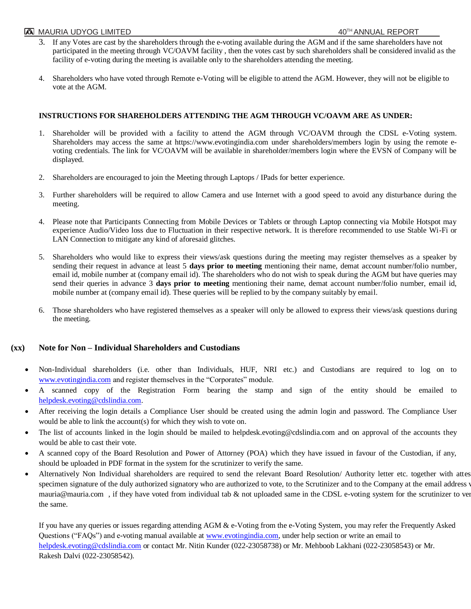#### **ASI** MAURIA UDYOG LIMITED **AND ANNUAL REPORT**

- 3. If any Votes are cast by the shareholders through the e-voting available during the AGM and if the same shareholders have not participated in the meeting through VC/OAVM facility , then the votes cast by such shareholders shall be considered invalid as the facility of e-voting during the meeting is available only to the shareholders attending the meeting.
- 4. Shareholders who have voted through Remote e-Voting will be eligible to attend the AGM. However, they will not be eligible to vote at the AGM.

#### **INSTRUCTIONS FOR SHAREHOLDERS ATTENDING THE AGM THROUGH VC/OAVM ARE AS UNDER:**

- 1. Shareholder will be provided with a facility to attend the AGM through VC/OAVM through the CDSL e-Voting system. Shareholders may access the same at https://www.evotingindia.com under shareholders/members login by using the remote evoting credentials. The link for VC/OAVM will be available in shareholder/members login where the EVSN of Company will be displayed.
- 2. Shareholders are encouraged to join the Meeting through Laptops / IPads for better experience.
- 3. Further shareholders will be required to allow Camera and use Internet with a good speed to avoid any disturbance during the meeting.
- 4. Please note that Participants Connecting from Mobile Devices or Tablets or through Laptop connecting via Mobile Hotspot may experience Audio/Video loss due to Fluctuation in their respective network. It is therefore recommended to use Stable Wi-Fi or LAN Connection to mitigate any kind of aforesaid glitches.
- 5. Shareholders who would like to express their views/ask questions during the meeting may register themselves as a speaker by sending their request in advance at least 5 **days prior to meeting** mentioning their name, demat account number/folio number, email id, mobile number at (company email id). The shareholders who do not wish to speak during the AGM but have queries may send their queries in advance 3 **days prior to meeting** mentioning their name, demat account number/folio number, email id, mobile number at (company email id). These queries will be replied to by the company suitably by email.
- 6. Those shareholders who have registered themselves as a speaker will only be allowed to express their views/ask questions during the meeting.

## **(xx) Note for Non – Individual Shareholders and Custodians**

- Non-Individual shareholders (i.e. other than Individuals, HUF, NRI etc.) and Custodians are required to log on to [www.evotingindia.com](http://www.evotingindia.com/) and register themselves in the "Corporates" module.
- A scanned copy of the Registration Form bearing the stamp and sign of the entity should be emailed to [helpdesk.evoting@cdslindia.com.](mailto:helpdesk.evoting@cdslindia.com)
- After receiving the login details a Compliance User should be created using the admin login and password. The Compliance User would be able to link the account(s) for which they wish to vote on.
- The list of accounts linked in the login should be mailed to helpdesk.evoting@cdslindia.com and on approval of the accounts they would be able to cast their vote.
- A scanned copy of the Board Resolution and Power of Attorney (POA) which they have issued in favour of the Custodian, if any, should be uploaded in PDF format in the system for the scrutinizer to verify the same.
- Alternatively Non Individual shareholders are required to send the relevant Board Resolution/ Authority letter etc. together with attes specimen signature of the duly authorized signatory who are authorized to vote, to the Scrutinizer and to the Company at the email address v mauria@mauria.com, if they have voted from individual tab & not uploaded same in the CDSL e-voting system for the scrutinizer to ver the same.

If you have any queries or issues regarding attending AGM & e-Voting from the e-Voting System, you may refer the Frequently Asked Questions ("FAQs") and e-voting manual available at [www.evotingindia.com,](http://www.evotingindia.com/) under help section or write an email to [helpdesk.evoting@cdslindia.com](mailto:helpdesk.evoting@cdslindia.com) or contact Mr. Nitin Kunder (022-23058738) or Mr. Mehboob Lakhani (022-23058543) or Mr. Rakesh Dalvi (022-23058542).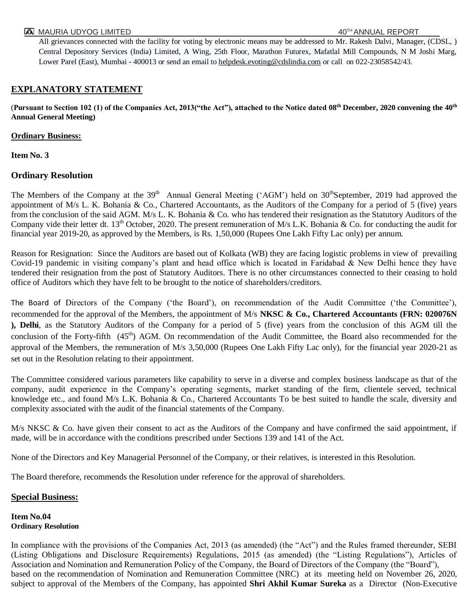#### **AMAURIA UDYOG LIMITED AND ANNUAL REPORT AND AND ANNUAL REPORT**

All grievances connected with the facility for voting by electronic means may be addressed to Mr. Rakesh Dalvi, Manager, (CDSL, ) Central Depository Services (India) Limited, A Wing, 25th Floor, Marathon Futurex, Mafatlal Mill Compounds, N M Joshi Marg, Lower Parel (East), Mumbai - 400013 or send an email t[o helpdesk.evoting@cdslindia.com](mailto:helpdesk.evoting@cdslindia.com) or call on 022-23058542/43.

## **EXPLANATORY STATEMENT**

(**Pursuant to Section 102 (1) of the Companies Act, 2013("the Act"), attached to the Notice dated 08 th December, 2020 convening the 40th Annual General Meeting)**

### **Ordinary Business:**

**Item No. 3**

## **Ordinary Resolution**

The Members of the Company at the 39<sup>th</sup> Annual General Meeting ('AGM') held on 30<sup>th</sup>September, 2019 had approved the appointment of M/s L. K. Bohania & Co., Chartered Accountants, as the Auditors of the Company for a period of 5 (five) years from the conclusion of the said AGM. M/s L. K. Bohania & Co. who has tendered their resignation as the Statutory Auditors of the Company vide their letter dt. 13<sup>th</sup> October, 2020. The present remuneration of M/s L.K. Bohania & Co. for conducting the audit for financial year 2019-20, as approved by the Members, is Rs. 1,50,000 (Rupees One Lakh Fifty Lac only) per annum.

Reason for Resignation: Since the Auditors are based out of Kolkata (WB) they are facing logistic problems in view of prevailing Covid-19 pandemic in visiting company's plant and head office which is located in Faridabad  $\&$  New Delhi hence they have tendered their resignation from the post of Statutory Auditors. There is no other circumstances connected to their ceasing to hold office of Auditors which they have felt to be brought to the notice of shareholders/creditors.

The Board of Directors of the Company ('the Board'), on recommendation of the Audit Committee ('the Committee'), recommended for the approval of the Members, the appointment of M/s **NKSC & Co., Chartered Accountants (FRN: 020076N ), Delhi**, as the Statutory Auditors of the Company for a period of 5 (five) years from the conclusion of this AGM till the conclusion of the Forty-fifth (45<sup>th</sup>) AGM. On recommendation of the Audit Committee, the Board also recommended for the approval of the Members, the remuneration of M/s 3,50,000 (Rupees One Lakh Fifty Lac only), for the financial year 2020-21 as set out in the Resolution relating to their appointment.

The Committee considered various parameters like capability to serve in a diverse and complex business landscape as that of the company, audit experience in the Company's operating segments, market standing of the firm, clientele served, technical knowledge etc., and found M/s L.K. Bohania & Co., Chartered Accountants To be best suited to handle the scale, diversity and complexity associated with the audit of the financial statements of the Company.

 $M/s$  NKSC & Co. have given their consent to act as the Auditors of the Company and have confirmed the said appointment, if made, will be in accordance with the conditions prescribed under Sections 139 and 141 of the Act.

None of the Directors and Key Managerial Personnel of the Company, or their relatives, is interested in this Resolution.

The Board therefore, recommends the Resolution under reference for the approval of shareholders.

## **Special Business:**

#### **Item No.04 Ordinary Resolution**

In compliance with the provisions of the Companies Act, 2013 (as amended) (the "Act") and the Rules framed thereunder, SEBI (Listing Obligations and Disclosure Requirements) Regulations, 2015 (as amended) (the "Listing Regulations"), Articles of Association and Nomination and Remuneration Policy of the Company, the Board of Directors of the Company (the "Board"), based on the recommendation of Nomination and Remuneration Committee (NRC) at its meeting held on November 26, 2020, subject to approval of the Members of the Company, has appointed **Shri Akhil Kumar Sureka** as a Director (Non-Executive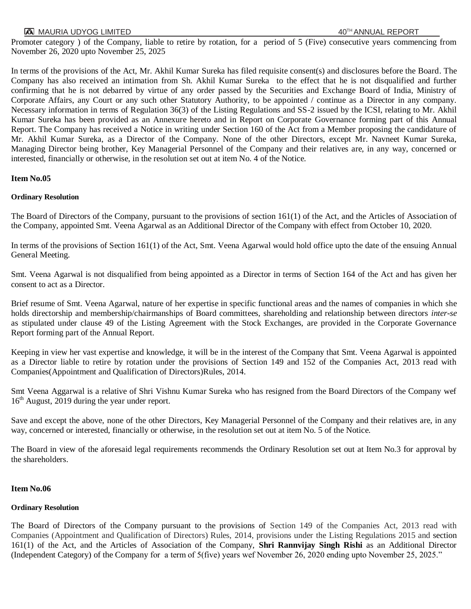## **TA MAURIA UDYOG LIMITED A**  $40^{Th}$  ANNUAL REPORT

Promoter category ) of the Company, liable to retire by rotation, for a period of 5 (Five) consecutive years commencing from November 26, 2020 upto November 25, 2025

In terms of the provisions of the Act, Mr. Akhil Kumar Sureka has filed requisite consent(s) and disclosures before the Board. The Company has also received an intimation from Sh. Akhil Kumar Sureka to the effect that he is not disqualified and further confirming that he is not debarred by virtue of any order passed by the Securities and Exchange Board of India, Ministry of Corporate Affairs, any Court or any such other Statutory Authority, to be appointed / continue as a Director in any company. Necessary information in terms of Regulation 36(3) of the Listing Regulations and SS-2 issued by the ICSI, relating to Mr. Akhil Kumar Sureka has been provided as an Annexure hereto and in Report on Corporate Governance forming part of this Annual Report. The Company has received a Notice in writing under Section 160 of the Act from a Member proposing the candidature of Mr. Akhil Kumar Sureka, as a Director of the Company. None of the other Directors, except Mr. Navneet Kumar Sureka, Managing Director being brother, Key Managerial Personnel of the Company and their relatives are, in any way, concerned or interested, financially or otherwise, in the resolution set out at item No. 4 of the Notice.

### **Item No.05**

#### **Ordinary Resolution**

The Board of Directors of the Company, pursuant to the provisions of section 161(1) of the Act, and the Articles of Association of the Company, appointed Smt. Veena Agarwal as an Additional Director of the Company with effect from October 10, 2020.

In terms of the provisions of Section 161(1) of the Act, Smt. Veena Agarwal would hold office upto the date of the ensuing Annual General Meeting.

Smt. Veena Agarwal is not disqualified from being appointed as a Director in terms of Section 164 of the Act and has given her consent to act as a Director.

Brief resume of Smt. Veena Agarwal, nature of her expertise in specific functional areas and the names of companies in which she holds directorship and membership/chairmanships of Board committees, shareholding and relationship between directors *inter-se* as stipulated under clause 49 of the Listing Agreement with the Stock Exchanges, are provided in the Corporate Governance Report forming part of the Annual Report.

Keeping in view her vast expertise and knowledge, it will be in the interest of the Company that Smt. Veena Agarwal is appointed as a Director liable to retire by rotation under the provisions of Section 149 and 152 of the Companies Act, 2013 read with Companies(Appointment and Qualification of Directors)Rules, 2014.

Smt Veena Aggarwal is a relative of Shri Vishnu Kumar Sureka who has resigned from the Board Directors of the Company wef 16th August, 2019 during the year under report.

Save and except the above, none of the other Directors, Key Managerial Personnel of the Company and their relatives are, in any way, concerned or interested, financially or otherwise, in the resolution set out at item No. 5 of the Notice.

The Board in view of the aforesaid legal requirements recommends the Ordinary Resolution set out at Item No.3 for approval by the shareholders.

#### **Item No.06**

#### **Ordinary Resolution**

The Board of Directors of the Company pursuant to the provisions of Section 149 of the Companies Act, 2013 read with Companies (Appointment and Qualification of Directors) Rules, 2014, provisions under the Listing Regulations 2015 and section 161(1) of the Act, and the Articles of Association of the Company, **Shri Rannvijay Singh Rishi** as an Additional Director (Independent Category) of the Company for a term of 5(five) years wef November 26, 2020 ending upto November 25, 2025."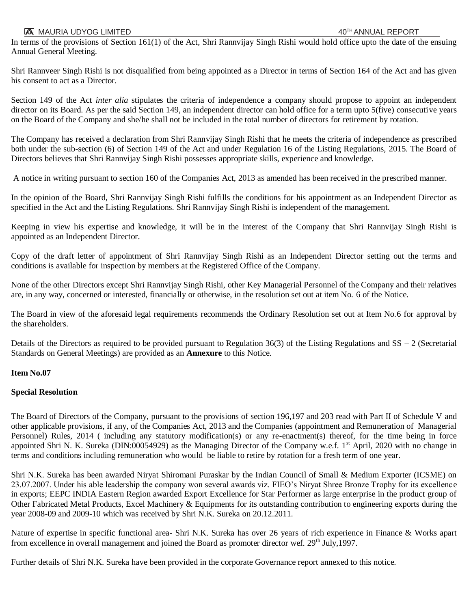# **TA MAURIA UDYOG LIMITED** 40<sup>TH</sup> ANNUAL REPORT

In terms of the provisions of Section 161(1) of the Act, Shri Rannvijay Singh Rishi would hold office upto the date of the ensuing Annual General Meeting.

Shri Rannveer Singh Rishi is not disqualified from being appointed as a Director in terms of Section 164 of the Act and has given his consent to act as a Director.

Section 149 of the Act *inter alia* stipulates the criteria of independence a company should propose to appoint an independent director on its Board. As per the said Section 149, an independent director can hold office for a term upto 5(five) consecutive years on the Board of the Company and she/he shall not be included in the total number of directors for retirement by rotation.

The Company has received a declaration from Shri Rannvijay Singh Rishi that he meets the criteria of independence as prescribed both under the sub-section (6) of Section 149 of the Act and under Regulation 16 of the Listing Regulations, 2015. The Board of Directors believes that Shri Rannvijay Singh Rishi possesses appropriate skills, experience and knowledge.

A notice in writing pursuant to section 160 of the Companies Act, 2013 as amended has been received in the prescribed manner.

In the opinion of the Board, Shri Rannvijay Singh Rishi fulfills the conditions for his appointment as an Independent Director as specified in the Act and the Listing Regulations. Shri Rannvijay Singh Rishi is independent of the management.

Keeping in view his expertise and knowledge, it will be in the interest of the Company that Shri Rannvijay Singh Rishi is appointed as an Independent Director.

Copy of the draft letter of appointment of Shri Rannvijay Singh Rishi as an Independent Director setting out the terms and conditions is available for inspection by members at the Registered Office of the Company.

None of the other Directors except Shri Rannvijay Singh Rishi, other Key Managerial Personnel of the Company and their relatives are, in any way, concerned or interested, financially or otherwise, in the resolution set out at item No. 6 of the Notice.

The Board in view of the aforesaid legal requirements recommends the Ordinary Resolution set out at Item No.6 for approval by the shareholders.

Details of the Directors as required to be provided pursuant to Regulation 36(3) of the Listing Regulations and  $SS - 2$  (Secretarial Standards on General Meetings) are provided as an **Annexure** to this Notice.

## **Item No.07**

#### **Special Resolution**

The Board of Directors of the Company, pursuant to the provisions of section 196,197 and 203 read with Part II of Schedule V and other applicable provisions, if any, of the Companies Act, 2013 and the Companies (appointment and Remuneration of Managerial Personnel) Rules, 2014 ( including any statutory modification(s) or any re-enactment(s) thereof, for the time being in force appointed Shri N. K. Sureka (DIN:00054929) as the Managing Director of the Company w.e.f. 1<sup>st</sup> April, 2020 with no change in terms and conditions including remuneration who would be liable to retire by rotation for a fresh term of one year.

Shri N.K. Sureka has been awarded Niryat Shiromani Puraskar by the Indian Council of Small & Medium Exporter (ICSME) on 23.07.2007. Under his able leadership the company won several awards viz. FIEO's Niryat Shree Bronze Trophy for its excellence in exports; EEPC INDIA Eastern Region awarded Export Excellence for Star Performer as large enterprise in the product group of Other Fabricated Metal Products, Excel Machinery & Equipments for its outstanding contribution to engineering exports during the year 2008-09 and 2009-10 which was received by Shri N.K. Sureka on 20.12.2011.

Nature of expertise in specific functional area- Shri N.K. Sureka has over 26 years of rich experience in Finance & Works apart from excellence in overall management and joined the Board as promoter director wef.  $29<sup>th</sup>$  July, 1997.

Further details of Shri N.K. Sureka have been provided in the corporate Governance report annexed to this notice.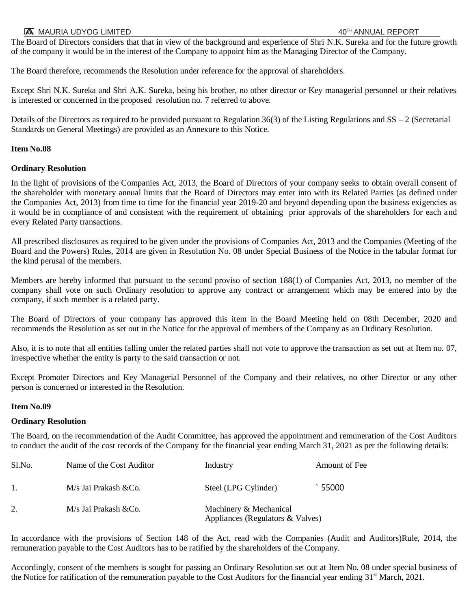### **AS** MAURIA UDYOG LIMITED **AND A SERVERT ANNUAL REPORT**

The Board of Directors considers that that in view of the background and experience of Shri N.K. Sureka and for the future growth of the company it would be in the interest of the Company to appoint him as the Managing Director of the Company.

The Board therefore, recommends the Resolution under reference for the approval of shareholders.

Except Shri N.K. Sureka and Shri A.K. Sureka, being his brother, no other director or Key managerial personnel or their relatives is interested or concerned in the proposed resolution no. 7 referred to above.

Details of the Directors as required to be provided pursuant to Regulation  $36(3)$  of the Listing Regulations and  $SS - 2$  (Secretarial Standards on General Meetings) are provided as an Annexure to this Notice.

### **Item No.08**

## **Ordinary Resolution**

In the light of provisions of the Companies Act, 2013, the Board of Directors of your company seeks to obtain overall consent of the shareholder with monetary annual limits that the Board of Directors may enter into with its Related Parties (as defined under the Companies Act, 2013) from time to time for the financial year 2019-20 and beyond depending upon the business exigencies as it would be in compliance of and consistent with the requirement of obtaining prior approvals of the shareholders for each and every Related Party transactions.

All prescribed disclosures as required to be given under the provisions of Companies Act, 2013 and the Companies (Meeting of the Board and the Powers) Rules, 2014 are given in Resolution No. 08 under Special Business of the Notice in the tabular format for the kind perusal of the members.

Members are hereby informed that pursuant to the second proviso of section 188(1) of Companies Act, 2013, no member of the company shall vote on such Ordinary resolution to approve any contract or arrangement which may be entered into by the company, if such member is a related party.

The Board of Directors of your company has approved this item in the Board Meeting held on 08th December, 2020 and recommends the Resolution as set out in the Notice for the approval of members of the Company as an Ordinary Resolution.

Also, it is to note that all entities falling under the related parties shall not vote to approve the transaction as set out at Item no. 07, irrespective whether the entity is party to the said transaction or not.

Except Promoter Directors and Key Managerial Personnel of the Company and their relatives, no other Director or any other person is concerned or interested in the Resolution.

#### **Item No.09**

## **Ordinary Resolution**

The Board, on the recommendation of the Audit Committee, has approved the appointment and remuneration of the Cost Auditors to conduct the audit of the cost records of the Company for the financial year ending March 31, 2021 as per the following details:

| Sl.No. | Name of the Cost Auditor | Industry                                                   | Amount of Fee |
|--------|--------------------------|------------------------------------------------------------|---------------|
|        | M/s Jai Prakash & Co.    | Steel (LPG Cylinder)                                       | 55000         |
| 2.     | M/s Jai Prakash & Co.    | Machinery & Mechanical<br>Appliances (Regulators & Valves) |               |

In accordance with the provisions of Section 148 of the Act, read with the Companies (Audit and Auditors)Rule, 2014, the remuneration payable to the Cost Auditors has to be ratified by the shareholders of the Company.

Accordingly, consent of the members is sought for passing an Ordinary Resolution set out at Item No. 08 under special business of the Notice for ratification of the remuneration payable to the Cost Auditors for the financial year ending  $31<sup>st</sup>$  March, 2021.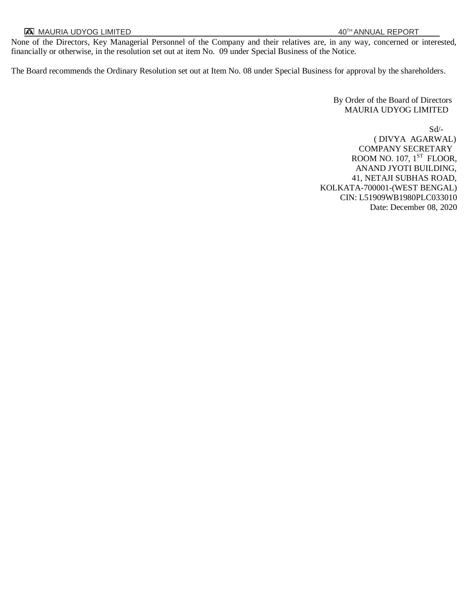None of the Directors, Key Managerial Personnel of the Company and their relatives are, in any way, concerned or interested, financially or otherwise, in the resolution set out at item No. 09 under Special Business of the Notice.

The Board recommends the Ordinary Resolution set out at Item No. 08 under Special Business for approval by the shareholders.

 By Order of the Board of Directors MAURIA UDYOG LIMITED

Sd/- ( DIVYA AGARWAL) COMPANY SECRETARY ROOM NO. 107,  $1^\text{ST}$  FLOOR, ANAND JYOTI BUILDING, 41, NETAJI SUBHAS ROAD, KOLKATA-700001-(WEST BENGAL) CIN: L51909WB1980PLC033010 Date: December 08, 2020